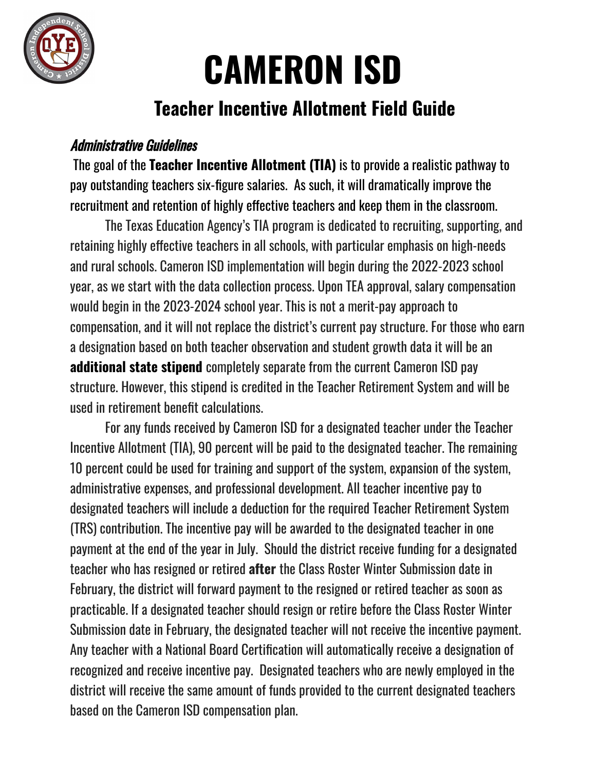

### **Teacher Incentive Allotment Field Guide**

#### Administrative Guidelines

The goal of the **Teacher Incentive Allotment (TIA)** is to provide a realistic pathway to pay outstanding teachers six-figure salaries. As such, it will dramatically improve the recruitment and retention of highly effective teachers and keep them in the classroom.

The Texas Education Agency's TIA program is dedicated to recruiting, supporting, and retaining highly effective teachers in all schools, with particular emphasis on high-needs and rural schools. Cameron ISD implementation will begin during the 2022-2023 school year, as we start with the data collection process. Upon TEA approval, salary compensation would begin in the 2023-2024 school year. This is not a merit-pay approach to compensation, and it will not replace the district's current pay structure. For those who earn a designation based on both teacher observation and student growth data it will be an **additional state stipend** completely separate from the current Cameron ISD pay structure. However, this stipend is credited in the Teacher Retirement System and will be used in retirement benefit calculations.

For any funds received by Cameron ISD for a designated teacher under the Teacher Incentive Allotment (TIA), 90 percent will be paid to the designated teacher. The remaining 10 percent could be used for training and support of the system, expansion of the system, administrative expenses, and professional development. All teacher incentive pay to designated teachers will include a deduction for the required Teacher Retirement System (TRS) contribution. The incentive pay will be awarded to the designated teacher in one payment at the end of the year in July. Should the district receive funding for a designated teacher who has resigned or retired **after** the Class Roster Winter Submission date in February, the district will forward payment to the resigned or retired teacher as soon as practicable. If a designated teacher should resign or retire before the Class Roster Winter Submission date in February, the designated teacher will not receive the incentive payment. Any teacher with a National Board Certification will automatically receive a designation of recognized and receive incentive pay. Designated teachers who are newly employed in the district will receive the same amount of funds provided to the current designated teachers based on the Cameron ISD compensation plan.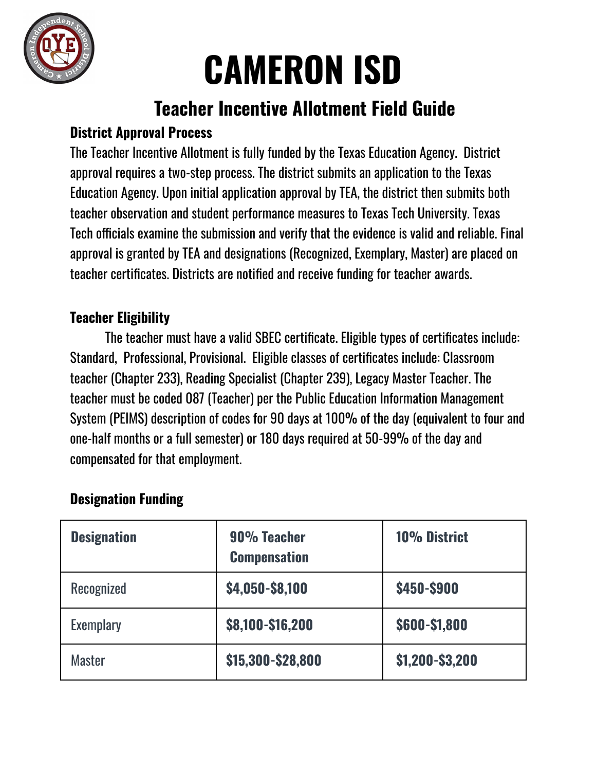

## **Teacher Incentive Allotment Field Guide**

#### **District Approval Process**

The Teacher Incentive Allotment is fully funded by the Texas Education Agency. District approval requires a two-step process. The district submits an application to the Texas Education Agency. Upon initial application approval by TEA, the district then submits both teacher observation and student performance measures to Texas Tech University. Texas Tech officials examine the submission and verify that the evidence is valid and reliable. Final approval is granted by TEA and designations (Recognized, Exemplary, Master) are placed on teacher certificates. Districts are notified and receive funding for teacher awards.

#### **Teacher Eligibility**

The teacher must have a valid SBEC certificate. Eligible types of certificates include: Standard, Professional, Provisional. Eligible classes of certificates include: Classroom teacher (Chapter 233), Reading Specialist (Chapter 239), Legacy Master Teacher. The teacher must be coded 087 (Teacher) per the Public Education Information Management System (PEIMS) description of codes for 90 days at 100% of the day (equivalent to four and one-half months or a full semester) or 180 days required at 50-99% of the day and compensated for that employment.

| <b>Designation</b> | 90% Teacher<br><b>Compensation</b> | <b>10% District</b> |
|--------------------|------------------------------------|---------------------|
| Recognized         | \$4,050-\$8,100                    | \$450-\$900         |
| <b>Exemplary</b>   | \$8,100-\$16,200                   | \$600-\$1,800       |
| <b>Master</b>      | \$15,300-\$28,800                  | \$1,200-\$3,200     |

#### **Designation Funding**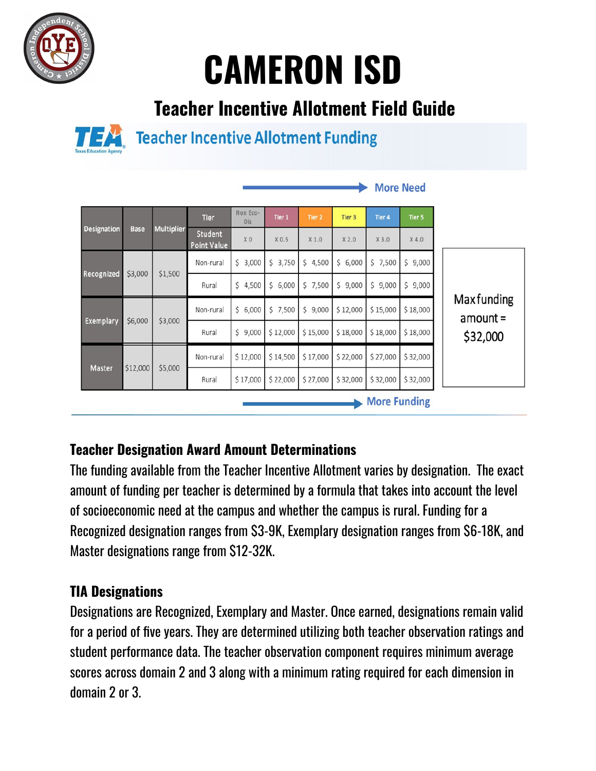

## **Teacher Incentive Allotment Field Guide**



### **Teacher Incentive Allotment Funding**

|                                                        |                     |                        |                |                 |                  |          |             |          | <b>More Need</b> |                                 |
|--------------------------------------------------------|---------------------|------------------------|----------------|-----------------|------------------|----------|-------------|----------|------------------|---------------------------------|
|                                                        |                     |                        | <b>Tier</b>    | Non Eco-<br>Dis | Tier 1           | Tier 2   | Tier 3      | Tier 4   | Tier 5           |                                 |
| <b>Designation</b><br><b>Multiplier</b><br><b>Base</b> |                     | Student<br>Point Value | X <sub>0</sub> | X 0.5           | X <sub>1.0</sub> | X 2.0    | X 3.0       | $X$ 4.0  |                  |                                 |
|                                                        |                     |                        | Non-rural      | \$3,000         | \$3,750          | \$4,500  | \$6,000     | \$7,500  | \$9,000          |                                 |
| Recognized                                             | \$3,000             | \$1,500                | Rural          | \$4,500         | \$6,000          | \$7,500  | \$<br>9,000 | \$9,000  | \$9,000          |                                 |
|                                                        |                     |                        | Non-rural      | \$6,000         | \$7,500          | \$9,000  | \$12,000    | \$15,000 | \$18,000         | <b>Maxfunding</b><br>$amount =$ |
| <b>Exemplary</b>                                       | \$6,000             | \$3,000                | Rural          | \$9,000         | \$12,000         | \$15,000 | \$18,000    | \$18,000 | \$18,000         | \$32,000                        |
|                                                        |                     |                        | Non-rural      | \$12,000        | \$14,500         | \$17,000 | \$22,000    | \$27,000 | \$32,000         |                                 |
| <b>Master</b>                                          | \$12,000            | \$5,000                | Rural          | \$17,000        | \$22,000         | \$27,000 | \$32,000    | \$32,000 | \$32,000         |                                 |
|                                                        | <b>More Funding</b> |                        |                |                 |                  |          |             |          |                  |                                 |

#### **Teacher Designation Award Amount Determinations**

The funding available from the Teacher Incentive Allotment varies by designation. The exact amount of funding per teacher is determined by a formula that takes into account the level of socioeconomic need at the campus and whether the campus is rural. Funding for a Recognized designation ranges from \$3-9K, Exemplary designation ranges from \$6-18K, and Master designations range from \$12-32K.

#### **TIA Designations**

Designations are Recognized, Exemplary and Master. Once earned, designations remain valid for a period of five years. They are determined utilizing both teacher observation ratings and student performance data. The teacher observation component requires minimum average scores across domain 2 and 3 along with a minimum rating required for each dimension in domain 2 or 3.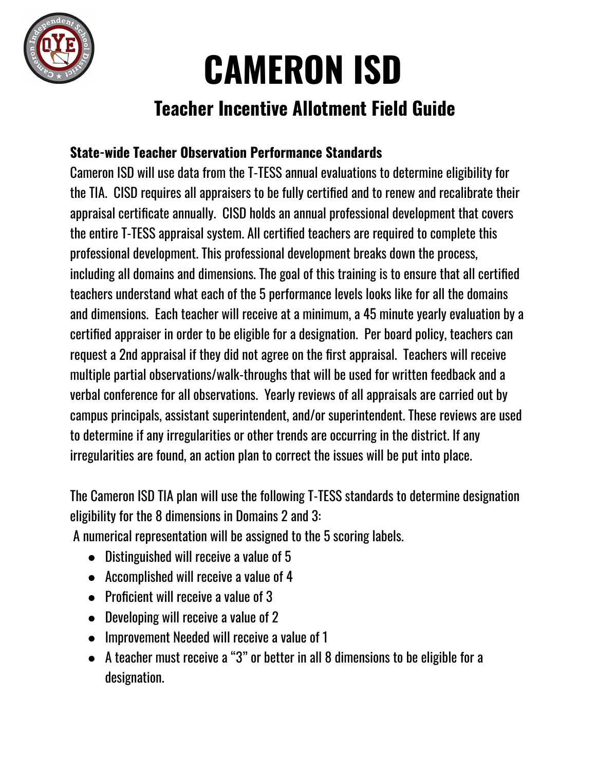

## **Teacher Incentive Allotment Field Guide**

#### **State-wide Teacher Observation Performance Standards**

Cameron ISD will use data from the T-TESS annual evaluations to determine eligibility for the TIA. CISD requires all appraisers to be fully certified and to renew and recalibrate their appraisal certificate annually. CISD holds an annual professional development that covers the entire T-TESS appraisal system. All certified teachers are required to complete this professional development. This professional development breaks down the process, including all domains and dimensions. The goal of this training is to ensure that all certified teachers understand what each of the 5 performance levels looks like for all the domains and dimensions. Each teacher will receive at a minimum, a 45 minute yearly evaluation by a certified appraiser in order to be eligible for a designation. Per board policy, teachers can request a 2nd appraisal if they did not agree on the first appraisal. Teachers will receive multiple partial observations/walk-throughs that will be used for written feedback and a verbal conference for all observations. Yearly reviews of all appraisals are carried out by campus principals, assistant superintendent, and/or superintendent. These reviews are used to determine if any irregularities or other trends are occurring in the district. If any irregularities are found, an action plan to correct the issues will be put into place.

The Cameron ISD TIA plan will use the following T-TESS standards to determine designation eligibility for the 8 dimensions in Domains 2 and 3:

A numerical representation will be assigned to the 5 scoring labels.

- Distinguished will receive a value of 5
- Accomplished will receive a value of 4
- $\bullet$  Proficient will receive a value of 3
- Developing will receive a value of 2
- Improvement Needed will receive a value of 1
- A teacher must receive a "3" or better in all 8 dimensions to be eligible for a designation.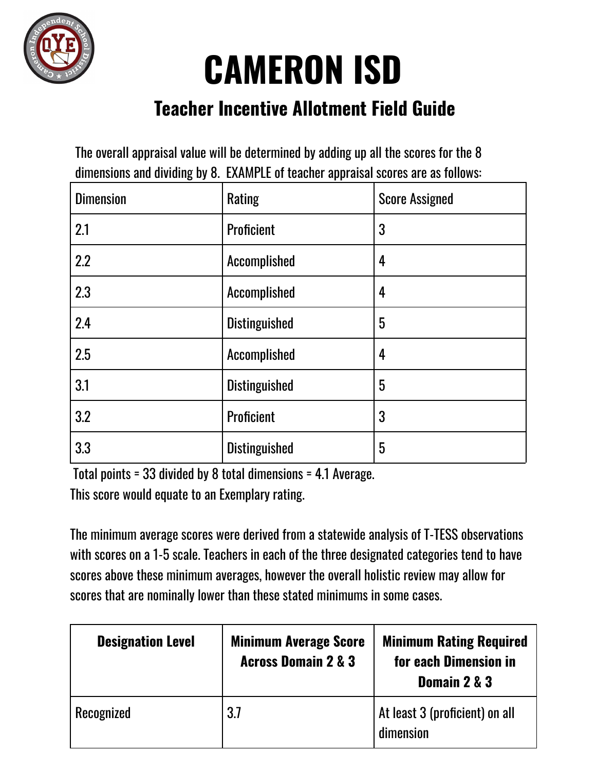

## **Teacher Incentive Allotment Field Guide**

The overall appraisal value will be determined by adding up all the scores for the 8 dimensions and dividing by 8. EXAMPLE of teacher appraisal scores are as follows:

| <b>Dimension</b> | Rating               | <b>Score Assigned</b> |
|------------------|----------------------|-----------------------|
| 2.1              | <b>Proficient</b>    | 3                     |
| 2.2              | Accomplished         | 4                     |
| 2.3              | Accomplished         | 4                     |
| 2.4              | <b>Distinguished</b> | 5                     |
| 2.5              | Accomplished         | 4                     |
| 3.1              | <b>Distinguished</b> | 5                     |
| 3.2              | <b>Proficient</b>    | 3                     |
| 3.3              | <b>Distinguished</b> | 5                     |

Total points = 33 divided by 8 total dimensions = 4.1 Average. This score would equate to an Exemplary rating.

The minimum average scores were derived from a statewide analysis of T-TESS observations with scores on a 1-5 scale. Teachers in each of the three designated categories tend to have scores above these minimum averages, however the overall holistic review may allow for scores that are nominally lower than these stated minimums in some cases.

| <b>Designation Level</b> | <b>Minimum Average Score</b><br><b>Across Domain 2 &amp; 3</b> | <b>Minimum Rating Required</b><br>for each Dimension in<br>Domain 2 & 3 |
|--------------------------|----------------------------------------------------------------|-------------------------------------------------------------------------|
| Recognized               | 3.7                                                            | At least 3 (proficient) on all<br>dimension                             |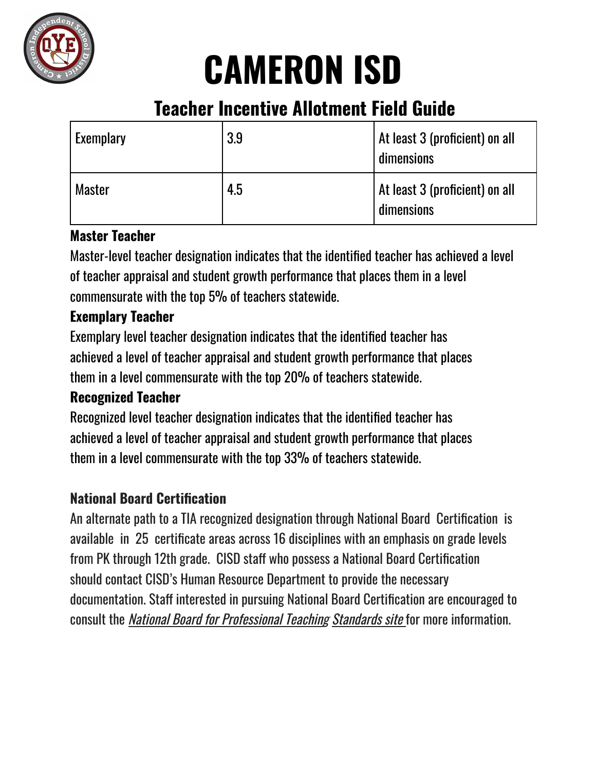

## **Teacher Incentive Allotment Field Guide**

| <b>Exemplary</b> | 3.9 | At least 3 (proficient) on all<br>dimensions |
|------------------|-----|----------------------------------------------|
| Master           | 4.5 | At least 3 (proficient) on all<br>dimensions |

#### **Master Teacher**

Master-level teacher designation indicates that the identified teacher has achieved a level of teacher appraisal and student growth performance that places them in a level commensurate with the top 5% of teachers statewide.

#### **Exemplary Teacher**

Exemplary level teacher designation indicates that the identified teacher has achieved a level of teacher appraisal and student growth performance that places them in a level commensurate with the top 20% of teachers statewide.

#### **Recognized Teacher**

Recognized level teacher designation indicates that the identified teacher has achieved a level of teacher appraisal and student growth performance that places them in a level commensurate with the top 33% of teachers statewide.

#### **National Board Certification**

An alternate path to a TIA recognized designation through National Board Certification is available in 25 certificate areas across 16 disciplines with an emphasis on grade levels from PK through 12th grade. CISD staff who possess a National Board Certification should contact CISD's Human Resource Department to provide the necessary documentation. Staff interested in pursuing National Board Certification are encouraged to consult the *National Board for [Professional](https://www.nbpts.org/national-board-certification/) Teaching Standards site* for more information.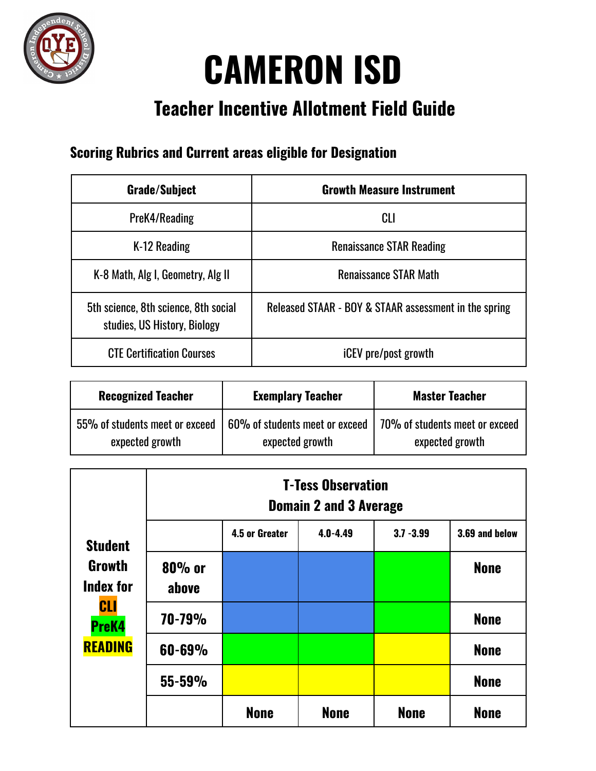

## **Teacher Incentive Allotment Field Guide**

#### **Scoring Rubrics and Current areas eligible for Designation**

| <b>Grade/Subject</b>                                                 | <b>Growth Measure Instrument</b>                      |
|----------------------------------------------------------------------|-------------------------------------------------------|
| PreK4/Reading                                                        | CLI                                                   |
| K-12 Reading                                                         | <b>Renaissance STAR Reading</b>                       |
| K-8 Math, Alg I, Geometry, Alg II                                    | <b>Renaissance STAR Math</b>                          |
| 5th science, 8th science, 8th social<br>studies, US History, Biology | Released STAAR - BOY & STAAR assessment in the spring |
| <b>CTE Certification Courses</b>                                     | iCEV pre/post growth                                  |

| <b>Recognized Teacher</b>      | <b>Exemplary Teacher</b>       | <b>Master Teacher</b>          |
|--------------------------------|--------------------------------|--------------------------------|
| 55% of students meet or exceed | 60% of students meet or exceed | 70% of students meet or exceed |
| expected growth                | expected growth                | expected growth                |

|                                                                                                     | <b>T-Tess Observation</b><br><b>Domain 2 and 3 Average</b> |                       |              |              |                |  |  |
|-----------------------------------------------------------------------------------------------------|------------------------------------------------------------|-----------------------|--------------|--------------|----------------|--|--|
| <b>Student</b><br><b>Growth</b><br><b>Index for</b><br><b>CLI</b><br><b>PreK4</b><br><b>READING</b> |                                                            | <b>4.5 or Greater</b> | $4.0 - 4.49$ | $3.7 - 3.99$ | 3.69 and below |  |  |
|                                                                                                     | $80%$ or<br>above                                          |                       |              |              | <b>None</b>    |  |  |
|                                                                                                     | 70-79%                                                     |                       |              |              | <b>None</b>    |  |  |
|                                                                                                     | 60-69%                                                     |                       |              |              | <b>None</b>    |  |  |
|                                                                                                     | $55 - 59%$                                                 |                       |              |              | <b>None</b>    |  |  |
|                                                                                                     |                                                            | <b>None</b>           | <b>None</b>  | <b>None</b>  | <b>None</b>    |  |  |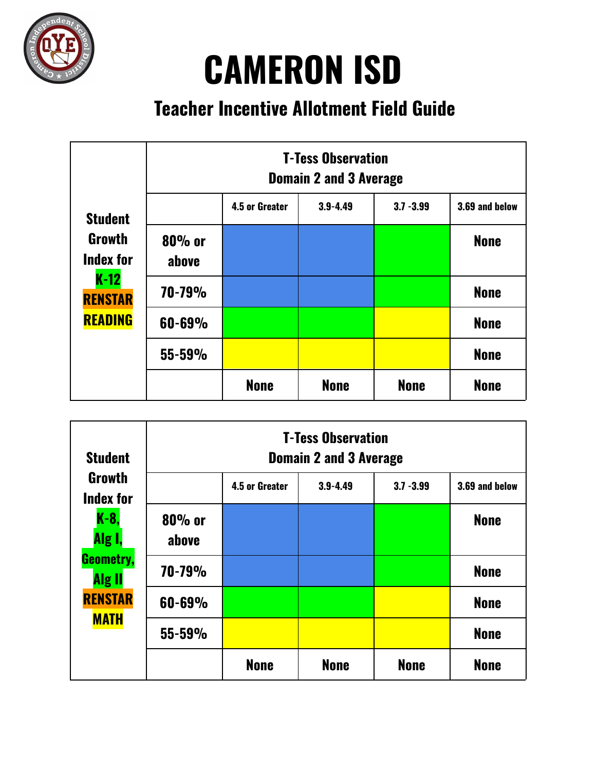

## **Teacher Incentive Allotment Field Guide**

| <b>Student</b><br><b>Growth</b><br><b>Index for</b><br>$K-12$<br><b>RENSTAR</b><br><b>READING</b> | <b>T-Tess Observation</b><br><b>Domain 2 and 3 Average</b> |                |              |              |                |  |
|---------------------------------------------------------------------------------------------------|------------------------------------------------------------|----------------|--------------|--------------|----------------|--|
|                                                                                                   |                                                            | 4.5 or Greater | $3.9 - 4.49$ | $3.7 - 3.99$ | 3.69 and below |  |
|                                                                                                   | $80%$ or<br>above                                          |                |              |              | <b>None</b>    |  |
|                                                                                                   | 70-79%                                                     |                |              |              | <b>None</b>    |  |
|                                                                                                   | 60-69%                                                     |                |              |              | <b>None</b>    |  |
|                                                                                                   | $55 - 59%$                                                 |                |              |              | <b>None</b>    |  |
|                                                                                                   |                                                            | <b>None</b>    | <b>None</b>  | <b>None</b>  | <b>None</b>    |  |

| <b>Student</b><br>Growth<br><b>Index for</b>                       | <b>T-Tess Observation</b><br><b>Domain 2 and 3 Average</b> |                       |              |              |                |  |
|--------------------------------------------------------------------|------------------------------------------------------------|-----------------------|--------------|--------------|----------------|--|
|                                                                    |                                                            | <b>4.5 or Greater</b> | $3.9 - 4.49$ | $3.7 - 3.99$ | 3.69 and below |  |
| <b>K-8,</b><br>Alg I,                                              | $80%$ or<br>above                                          |                       |              |              | <b>None</b>    |  |
| <b>Geometry,</b><br><b>Alg II</b><br><b>RENSTAR</b><br><b>MATH</b> | 70-79%                                                     |                       |              |              | <b>None</b>    |  |
|                                                                    | 60-69%                                                     |                       |              |              | <b>None</b>    |  |
|                                                                    | $55 - 59%$                                                 |                       |              |              | <b>None</b>    |  |
|                                                                    |                                                            | <b>None</b>           | <b>None</b>  | <b>None</b>  | <b>None</b>    |  |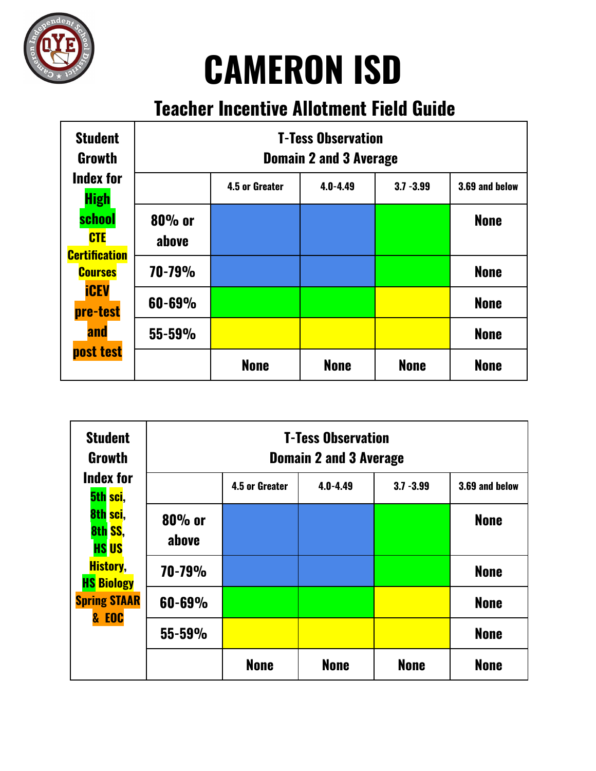

## **Teacher Incentive Allotment Field Guide**

| <b>Student</b><br><b>Growth</b>                                                                                                                  |                   |                       | <b>T-Tess Observation</b><br><b>Domain 2 and 3 Average</b> |              |                |
|--------------------------------------------------------------------------------------------------------------------------------------------------|-------------------|-----------------------|------------------------------------------------------------|--------------|----------------|
| <b>Index for</b><br><b>High</b><br>school<br><b>CTE</b><br><b>Certification</b><br><b>Courses</b><br><b>iCEV</b><br>pre-test<br>and<br>post test |                   | <b>4.5 or Greater</b> | $4.0 - 4.49$                                               | $3.7 - 3.99$ | 3.69 and below |
|                                                                                                                                                  | $80%$ or<br>above |                       |                                                            |              | <b>None</b>    |
|                                                                                                                                                  | 70-79%            |                       |                                                            |              | <b>None</b>    |
|                                                                                                                                                  | 60-69%            |                       |                                                            |              | <b>None</b>    |
|                                                                                                                                                  | $55 - 59%$        |                       |                                                            |              | <b>None</b>    |
|                                                                                                                                                  |                   | <b>None</b>           | <b>None</b>                                                | <b>None</b>  | <b>None</b>    |

| <b>Student</b><br><b>Growth</b><br><b>Index for</b><br><mark>5th sci</mark> , | <b>T-Tess Observation</b><br><b>Domain 2 and 3 Average</b> |                       |              |              |                |
|-------------------------------------------------------------------------------|------------------------------------------------------------|-----------------------|--------------|--------------|----------------|
|                                                                               |                                                            | <b>4.5 or Greater</b> | $4.0 - 4.49$ | $3.7 - 3.99$ | 3.69 and below |
| 8th sci,<br>8th SS,<br><b>HS US</b>                                           | $80%$ or<br>above                                          |                       |              |              | <b>None</b>    |
| <b>History</b> ,<br><b>HS Biology</b>                                         | 70-79%                                                     |                       |              |              | <b>None</b>    |
| <b>Spring STAAR</b><br><b>&amp; EOC</b>                                       | 60-69%                                                     |                       |              |              | <b>None</b>    |
|                                                                               | $55 - 59%$                                                 |                       |              |              | <b>None</b>    |
|                                                                               |                                                            | <b>None</b>           | <b>None</b>  | <b>None</b>  | <b>None</b>    |